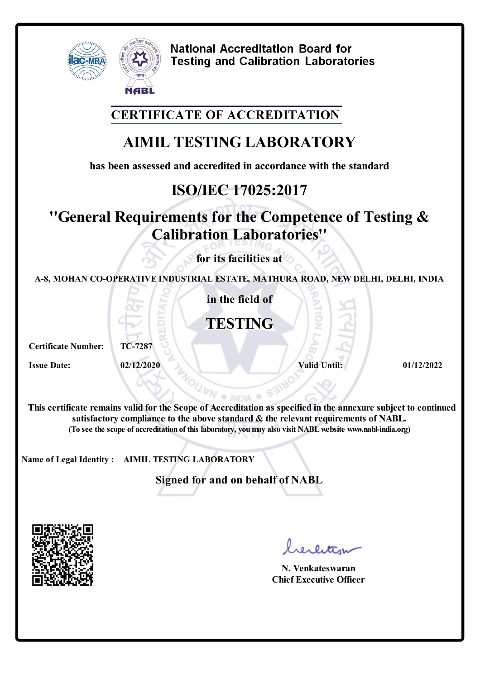

**National Accreditation Board for Testing and Calibration Laboratories** 

### **CERTIFICATE OF ACCREDITATION**

# **AIMIL TESTING LABORATORY**

**has been assessed and accredited in accordance with the standard**

# **ISO/IEC 17025:2017**

# **''General Requirements for the Competence of Testing & Calibration Laboratories''**

**for its facilities at**

**A-8, MOHAN CO-OPERATIVE INDUSTRIAL ESTATE, MATHURA ROAD, NEW DELHI, DELHI, INDIA**

**in the field of**

### **TESTING**

**Certificate Number: TC-7287**

**Issue Date: 02/12/2020 1/12/2022 1/2022 1/2022 1/2022 1/2022 1/2022 1/2022 1/2022 1/2022 1/2022 1/2022 1/2022 1/2022 1/2022 1/2022 1/2022 1/2022 1/2022 1/2022 1/2022 1/2022 1/** 

**This certificate remains valid forthe Scope of Accreditation as specified in the annexure subject to continued satisfactory compliance to the above standard & the relevant requirements of NABL. (To see the scope of accreditation of this laboratory, youmay also visit NABLwebsite www.nabl-india.org)**

**NA** 

S312

**Name of Legal Identity : AIMIL TESTING LABORATORY**

**Signed for and on behalf of NABL**



rerlitter

**N. Venkateswaran Chief Executive Officer**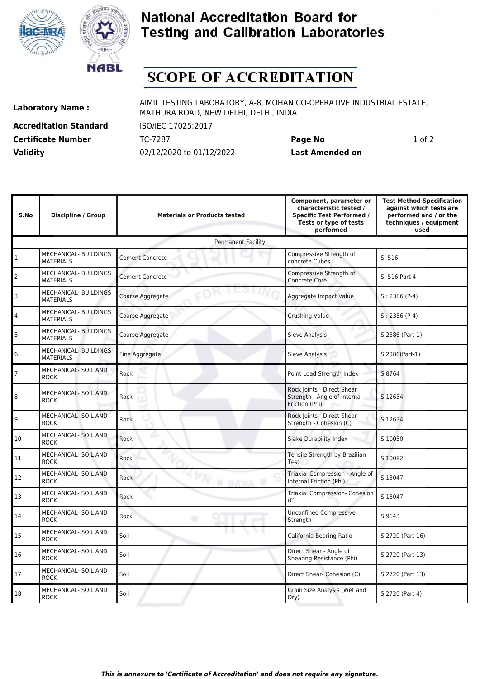



### **National Accreditation Board for Testing and Calibration Laboratories**

# **SCOPE OF ACCREDITATION**

**Accreditation Standard** ISO/IEC 17025:2017 **Validity** 02/12/2020 to 01/12/2022 **Last Amended on** -

**Laboratory Name :** AIMIL TESTING LABORATORY, A-8, MOHAN CO-OPERATIVE INDUSTRIAL ESTATE, MATHURA ROAD, NEW DELHI, DELHI, INDIA

**Certificate Number** TC-7287 **Page No** 1 of 2

| S.No                      | Discipline / Group                               | <b>Materials or Products tested</b> | Component, parameter or<br>characteristic tested /<br><b>Specific Test Performed /</b><br>Tests or type of tests<br>performed | <b>Test Method Specification</b><br>against which tests are<br>performed and / or the<br>techniques / equipment<br>used |  |  |  |
|---------------------------|--------------------------------------------------|-------------------------------------|-------------------------------------------------------------------------------------------------------------------------------|-------------------------------------------------------------------------------------------------------------------------|--|--|--|
| <b>Permanent Facility</b> |                                                  |                                     |                                                                                                                               |                                                                                                                         |  |  |  |
| $1\,$                     | MECHANICAL- BUILDINGS<br><b>MATERIALS</b>        | <b>Cement Concrete</b>              | Compressive Strength of<br>concrete Cubes                                                                                     | IS: 516                                                                                                                 |  |  |  |
| $\overline{2}$            | MECHANICAL- BUILDINGS<br><b>MATERIALS</b>        | <b>Cement Concrete</b>              | Compressive Strength of<br><b>Concrete Core</b>                                                                               | IS: 516 Part 4                                                                                                          |  |  |  |
| 3                         | MECHANICAL- BUILDINGS<br><b>MATERIALS</b>        | Coarse Aggregate                    | Aggregate Impact Value                                                                                                        | IS: 2386 (P-4)                                                                                                          |  |  |  |
| 4                         | MECHANICAL- BUILDINGS<br><b>MATERIALS</b>        | Coarse Aggregate                    | <b>Crushing Value</b>                                                                                                         | IS: 2386 (P-4)                                                                                                          |  |  |  |
| 5                         | MECHANICAL- BUILDINGS<br><b>MATERIALS</b>        | Coarse Aggregate                    | Sieve Analysis                                                                                                                | IS 2386 (Part-1)                                                                                                        |  |  |  |
| 6                         | <b>MECHANICAL- BUILDINGS</b><br><b>MATERIALS</b> | Fine Aggregate                      | <b>Sieve Analysis</b>                                                                                                         | IS 2386(Part-1)                                                                                                         |  |  |  |
| 7                         | MECHANICAL- SOIL AND<br><b>ROCK</b>              | Rock                                | Point Load Strength Index                                                                                                     | IS 8764                                                                                                                 |  |  |  |
| 8                         | MECHANICAL- SOIL AND<br><b>ROCK</b>              | Rock                                | Rock Joints - Direct Shear<br>Strength - Angle of Internal<br>Friction (Phi)                                                  | IS 12634                                                                                                                |  |  |  |
| 9                         | <b>MECHANICAL- SOIL AND</b><br><b>ROCK</b>       | Rock                                | Rock Joints - Direct Shear<br>Strength - Cohesion (C)                                                                         | IS 12634                                                                                                                |  |  |  |
| 10                        | MECHANICAL- SOIL AND<br><b>ROCK</b>              | Rock                                | Slake Durability Index                                                                                                        | IS 10050                                                                                                                |  |  |  |
| 11                        | MECHANICAL- SOIL AND<br><b>ROCK</b>              | Rock                                | Tensile Strength by Brazilian<br>Test                                                                                         | IS 10082                                                                                                                |  |  |  |
| 12                        | MECHANICAL- SOIL AND<br><b>ROCK</b>              | Rock<br>@ INDIA @                   | Triaxial Compression - Angle of<br>Internal Friction (Phi)                                                                    | IS 13047                                                                                                                |  |  |  |
| 13                        | <b>MECHANICAL- SOIL AND</b><br><b>ROCK</b>       | Rock                                | <b>Triaxial Compression- Cohesion</b><br>(C)                                                                                  | IS 13047                                                                                                                |  |  |  |
| 14                        | MECHANICAL- SOIL AND<br><b>ROCK</b>              | Rock<br>۰                           | <b>Unconfined Compressive</b><br>Strength                                                                                     | IS 9143                                                                                                                 |  |  |  |
| 15                        | MECHANICAL- SOIL AND<br><b>ROCK</b>              | Soil                                | California Bearing Ratio                                                                                                      | IS 2720 (Part 16)                                                                                                       |  |  |  |
| 16                        | MECHANICAL- SOIL AND<br><b>ROCK</b>              | Soil                                | Direct Shear - Angle of<br>Shearing Resistance (Phi)                                                                          | IS 2720 (Part 13)                                                                                                       |  |  |  |
| 17                        | MECHANICAL- SOIL AND<br><b>ROCK</b>              | Soil                                | Direct Shear- Cohesion (C)                                                                                                    | IS 2720 (Part 13)                                                                                                       |  |  |  |
| 18                        | MECHANICAL- SOIL AND<br><b>ROCK</b>              | Soil                                | Grain Size Analysis (Wet and<br>Dry)                                                                                          | IS 2720 (Part 4)                                                                                                        |  |  |  |